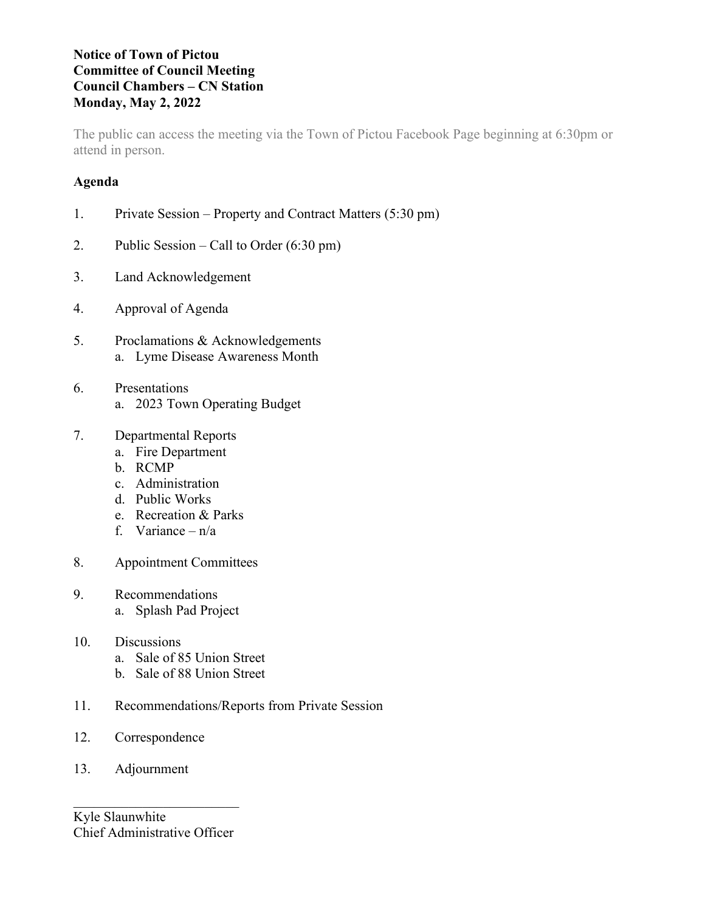## **Notice of Town of Pictou Committee of Council Meeting Council Chambers – CN Station Monday, May 2, 2022**

The public can access the meeting via the Town of Pictou Facebook Page beginning at 6:30pm or attend in person.

# **Agenda**

|  | Private Session – Property and Contract Matters (5:30 pm) |  |  |  |
|--|-----------------------------------------------------------|--|--|--|
|--|-----------------------------------------------------------|--|--|--|

- 2. Public Session Call to Order (6:30 pm)
- 3. Land Acknowledgement
- 4. Approval of Agenda
- 5. Proclamations & Acknowledgements a. Lyme Disease Awareness Month
- 6. Presentations a. 2023 Town Operating Budget
- 7. Departmental Reports
	- a. Fire Department
	- b. RCMP
	- c. Administration
	- d. Public Works
	- e. Recreation & Parks
	- f. Variance n/a
- 8. Appointment Committees
- 9. Recommendations a. Splash Pad Project
- 10. Discussions
	- a. Sale of 85 Union Street
	- b. Sale of 88 Union Street
- 11. Recommendations/Reports from Private Session
- 12. Correspondence
- 13. Adjournment

 $\overline{\mathcal{L}}$ Kyle Slaunwhite Chief Administrative Officer